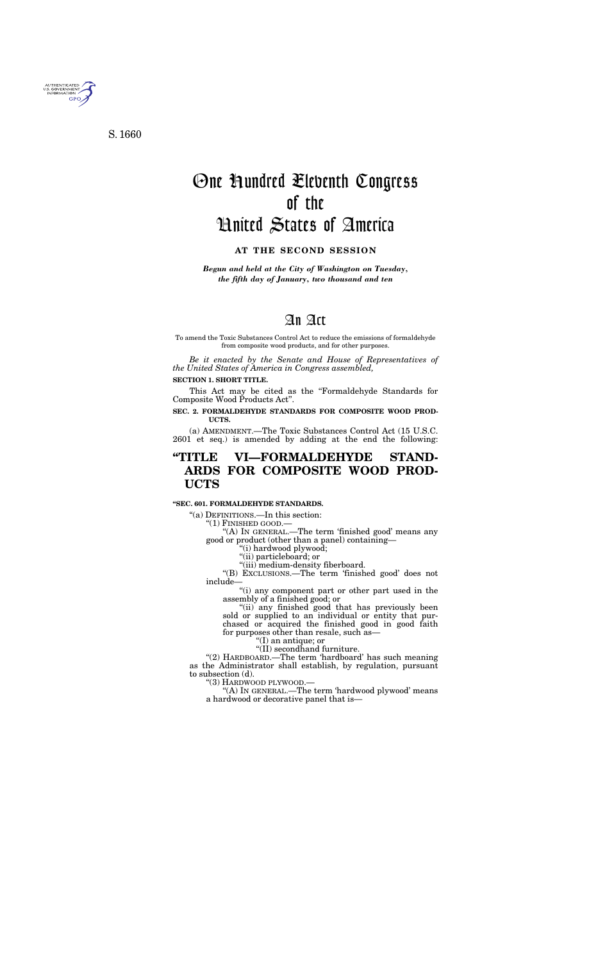# An Act

To amend the Toxic Substances Control Act to reduce the emissions of formaldehyde from composite wood products, and for other purposes.

*Be it enacted by the Senate and House of Representatives of the United States of America in Congress assembled,* 

### **SECTION 1. SHORT TITLE.**

This Act may be cited as the ''Formaldehyde Standards for Composite Wood Products Act''.

# **SEC. 2. FORMALDEHYDE STANDARDS FOR COMPOSITE WOOD PROD-UCTS.**

(a) AMENDMENT.—The Toxic Substances Control Act (15 U.S.C. 2601 et seq.) is amended by adding at the end the following:

# **''TITLE VI—FORMALDEHYDE STAND-ARDS FOR COMPOSITE WOOD PROD-UCTS**

#### **''SEC. 601. FORMALDEHYDE STANDARDS.**

"(a) DEFINITIONS.—In this section:<br>"(1) FINISHED GOOD.—

"(A) IN GENERAL.—The term 'finished good' means any good or product (other than a panel) containing—

''(i) hardwood plywood;

''(ii) particleboard; or

"(iii) medium-density fiberboard.

''(B) EXCLUSIONS.—The term 'finished good' does not include—

 $\sqrt{a}$ (i) any component part or other part used in the assembly of a finished good; or

"(ii) any finished good that has previously been sold or supplied to an individual or entity that purchased or acquired the finished good in good faith for purposes other than resale, such as—

''(I) an antique; or

''(II) secondhand furniture.

''(2) HARDBOARD.—The term 'hardboard' has such meaning as the Administrator shall establish, by regulation, pursuant to subsection (d).

''(3) HARDWOOD PLYWOOD.—

''(A) IN GENERAL.—The term 'hardwood plywood' means a hardwood or decorative panel that is—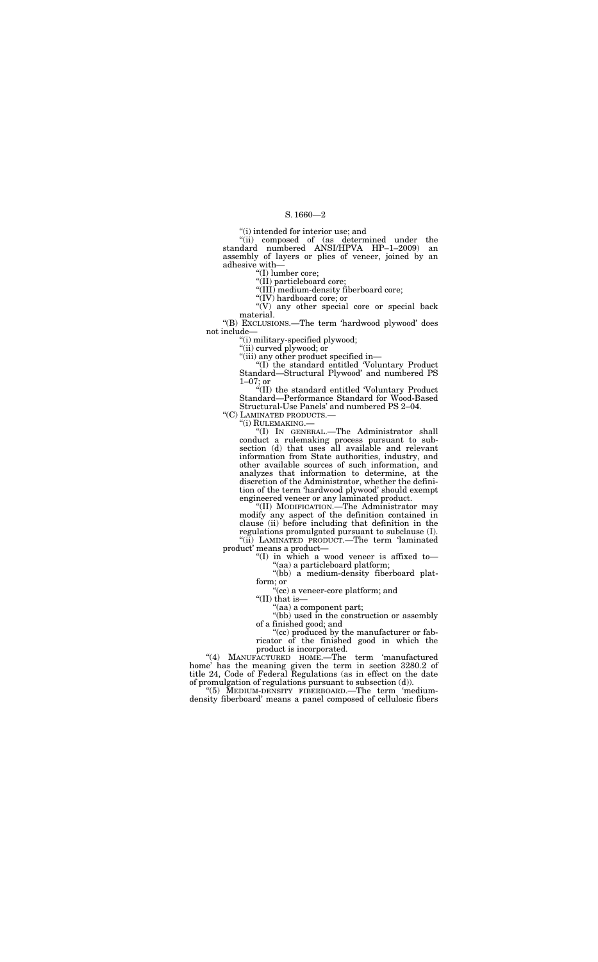''(i) intended for interior use; and

''(ii) composed of (as determined under the standard numbered ANSI/HPVA HP–1–2009) an assembly of layers or plies of veneer, joined by an adhesive with—

"(V) any other special core or special back material.

''(I) lumber core;

''(II) particleboard core;

''(III) medium-density fiberboard core;

''(IV) hardboard core; or

''(B) EXCLUSIONS.—The term 'hardwood plywood' does not include—

"(i) military-specified plywood;

''(ii) curved plywood; or

''(iii) any other product specified in—

''(I) the standard entitled 'Voluntary Product Standard—Structural Plywood' and numbered PS 1–07; or

"(I) IN GENERAL.—The Administrator shall conduct a rulemaking process pursuant to subsection (d) that uses all available and relevant information from State authorities, industry, and other available sources of such information, and analyzes that information to determine, at the discretion of the Administrator, whether the definition of the term 'hardwood plywood' should exempt engineered veneer or any laminated product.

''(II) the standard entitled 'Voluntary Product Standard—Performance Standard for Wood-Based Structural-Use Panels' and numbered PS 2–04.

"(C) LAMINATED PRODUCTS.—<br>"(i) RULEMAKING.—

''(II) MODIFICATION.—The Administrator may modify any aspect of the definition contained in clause (ii) before including that definition in the regulations promulgated pursuant to subclause (I). ''(ii) LAMINATED PRODUCT.—The term 'laminated

product' means a product— ''(I) in which a wood veneer is affixed to—

''(aa) a particleboard platform;

''(bb) a medium-density fiberboard platform; or

''(cc) a veneer-core platform; and

''(II) that is—

''(aa) a component part;

''(bb) used in the construction or assembly of a finished good; and

''(cc) produced by the manufacturer or fabricator of the finished good in which the product is incorporated.

''(4) MANUFACTURED HOME.—The term 'manufactured home' has the meaning given the term in section 3280.2 of title 24, Code of Federal Regulations (as in effect on the date of promulgation of regulations pursuant to subsection (d)).

''(5) MEDIUM-DENSITY FIBERBOARD.—The term 'mediumdensity fiberboard' means a panel composed of cellulosic fibers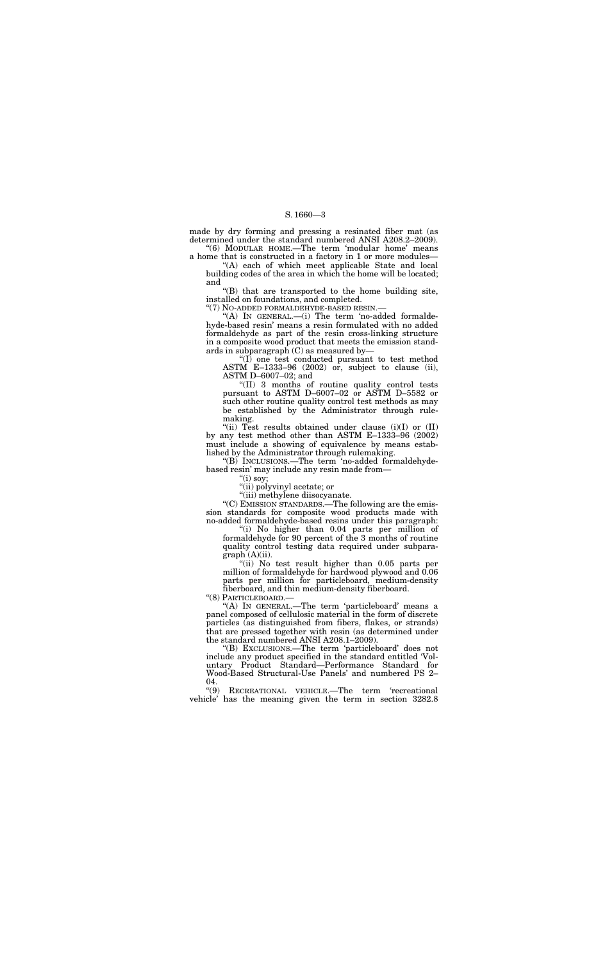made by dry forming and pressing a resinated fiber mat (as determined under the standard numbered ANSI A208.2–2009).

''(6) MODULAR HOME.—The term 'modular home' means a home that is constructed in a factory in 1 or more modules—

''(A) each of which meet applicable State and local building codes of the area in which the home will be located; and

''(B) that are transported to the home building site, installed on foundations, and completed.

''(7) NO-ADDED FORMALDEHYDE-BASED RESIN.—

"(A) IN GENERAL.—(i) The term 'no-added formaldehyde-based resin' means a resin formulated with no added formaldehyde as part of the resin cross-linking structure in a composite wood product that meets the emission standards in subparagraph  $(C)$  as measured by-

"(ii) Test results obtained under clause  $(i)(I)$  or  $(II)$ by any test method other than ASTM E–1333–96 (2002) must include a showing of equivalence by means established by the Administrator through rulemaking.

''(I) one test conducted pursuant to test method ASTM E–1333–96 (2002) or, subject to clause (ii), ASTM D–6007–02; and

''(II) 3 months of routine quality control tests pursuant to ASTM D–6007–02 or ASTM D–5582 or such other routine quality control test methods as may be established by the Administrator through rulemaking.

"(ii) No test result higher than 0.05 parts per million of formaldehyde for hardwood plywood and 0.06 parts per million for particleboard, medium-density fiberboard, and thin medium-density fiberboard.

"(A) IN GENERAL.—The term 'particleboard' means a panel composed of cellulosic material in the form of discrete particles (as distinguished from fibers, flakes, or strands) that are pressed together with resin (as determined under the standard numbered ANSI A208.1–2009).

 $04.$  "(9) RECREATIONAL VEHICLE.—The term 'recreational vehicle' has the meaning given the term in section 3282.8

''(B) INCLUSIONS.—The term 'no-added formaldehydebased resin' may include any resin made from—

" $(i)$  soy;

''(ii) polyvinyl acetate; or

''(iii) methylene diisocyanate.

''(C) EMISSION STANDARDS.—The following are the emission standards for composite wood products made with no-added formaldehyde-based resins under this paragraph:

"(i) No higher than 0.04 parts per million of formaldehyde for 90 percent of the 3 months of routine quality control testing data required under subpara $graph (A)(ii)$ .

''(8) PARTICLEBOARD.—

''(B) EXCLUSIONS.—The term 'particleboard' does not include any product specified in the standard entitled 'Voluntary Product Standard—Performance Standard for Wood-Based Structural-Use Panels' and numbered PS 2–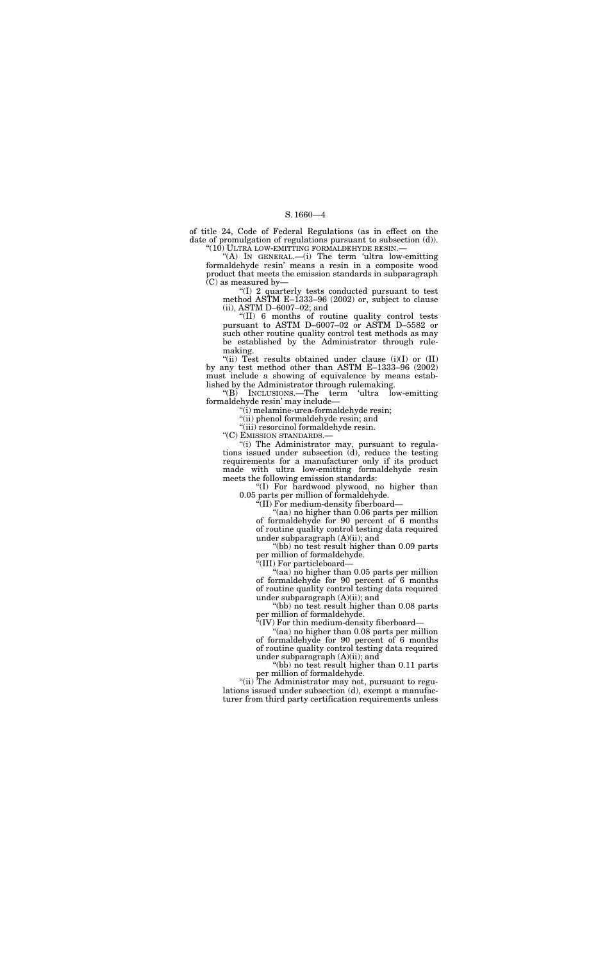of title 24, Code of Federal Regulations (as in effect on the date of promulgation of regulations pursuant to subsection (d)).  $"$ (10) ULTRA LOW-EMITTING FORMALDEHYDE RESIN.—

''(A) IN GENERAL.—(i) The term 'ultra low-emitting formaldehyde resin' means a resin in a composite wood product that meets the emission standards in subparagraph (C) as measured by—

''(I) 2 quarterly tests conducted pursuant to test method ASTM E–1333–96 (2002) or, subject to clause (ii), ASTM D–6007–02; and

"(ii) Test results obtained under clause (i)(I) or (II) by any test method other than ASTM E–1333–96 (2002) must include a showing of equivalence by means established by the Administrator through rulemaking.

''(II) 6 months of routine quality control tests pursuant to ASTM D–6007–02 or ASTM D–5582 or such other routine quality control test methods as may be established by the Administrator through rulemaking.

''(B) INCLUSIONS.—The term 'ultra low-emitting formaldehyde resin' may include—

> "(aa) no higher than 0.05 parts per million of formaldehyde for 90 percent of 6 months of routine quality control testing data required under subparagraph (A)(ii); and

''(i) melamine-urea-formaldehyde resin;

''(ii) phenol formaldehyde resin; and

''(iii) resorcinol formaldehyde resin.

''(C) EMISSION STANDARDS.—

"(bb) no test result higher than 0.11 parts per million of formaldehyde.

"(ii) The Administrator may not, pursuant to regulations issued under subsection (d), exempt a manufacturer from third party certification requirements unless

''(i) The Administrator may, pursuant to regulations issued under subsection (d), reduce the testing requirements for a manufacturer only if its product made with ultra low-emitting formaldehyde resin meets the following emission standards:

''(I) For hardwood plywood, no higher than 0.05 parts per million of formaldehyde.

''(II) For medium-density fiberboard—

''(aa) no higher than 0.06 parts per million of formaldehyde for 90 percent of 6 months of routine quality control testing data required under subparagraph (A)(ii); and

''(bb) no test result higher than 0.09 parts per million of formaldehyde.

''(III) For particleboard—

''(bb) no test result higher than 0.08 parts per million of formaldehyde.

''(IV) For thin medium-density fiberboard—

''(aa) no higher than 0.08 parts per million of formaldehyde for 90 percent of 6 months of routine quality control testing data required under subparagraph (A)(ii); and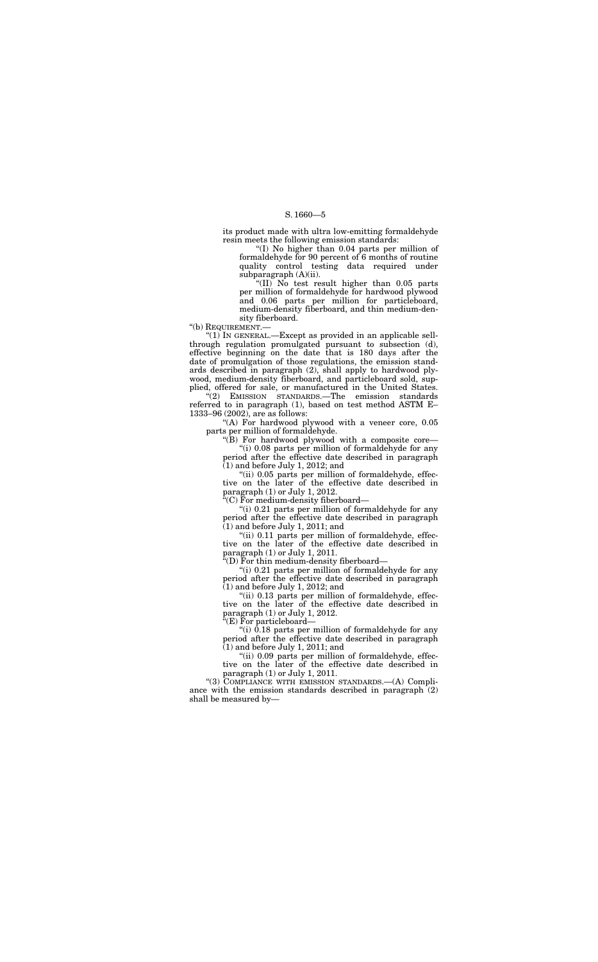''(I) No higher than 0.04 parts per million of formaldehyde for 90 percent of 6 months of routine quality control testing data required under subparagraph  $(A)(ii)$ .

its product made with ultra low-emitting formaldehyde resin meets the following emission standards:

" $(II)$  No test result higher than 0.05 parts per million of formaldehyde for hardwood plywood and 0.06 parts per million for particleboard, medium-density fiberboard, and thin medium-density fiberboard.

"(1) IN GENERAL.—Except as provided in an applicable sellthrough regulation promulgated pursuant to subsection (d), effective beginning on the date that is 180 days after the date of promulgation of those regulations, the emission standards described in paragraph (2), shall apply to hardwood plywood, medium-density fiberboard, and particleboard sold, supplied, offered for sale, or manufactured in the United States.

''(b) REQUIREMENT.—

"(A) For hardwood plywood with a veneer core, 0.05 parts per million of formaldehyde.

''(i) 0.08 parts per million of formaldehyde for any period after the effective date described in paragraph  $(1)$  and before July 1, 2012; and

"(ii) 0.05 parts per million of formaldehyde, effective on the later of the effective date described in paragraph (1) or July 1, 2012.

''(i) 0.21 parts per million of formaldehyde for any period after the effective date described in paragraph  $(1)$  and before July 1, 2012; and

''(2) EMISSION STANDARDS.—The emission standards referred to in paragraph (1), based on test method ASTM E– 1333–96 (2002), are as follows:

> "(ii) 0.13 parts per million of formaldehyde, effective on the later of the effective date described in paragraph (1) or July 1, 2012.

> ''(i) 0.18 parts per million of formaldehyde for any period after the effective date described in paragraph  $(1)$  and before July 1, 2011; and

''(B) For hardwood plywood with a composite core—

"(ii) 0.09 parts per million of formaldehyde, effective on the later of the effective date described in paragraph (1) or July 1, 2011.

''(C) For medium-density fiberboard—

"(i) 0.21 parts per million of formaldehyde for any period after the effective date described in paragraph  $(1)$  and before July 1, 2011; and

''(ii) 0.11 parts per million of formaldehyde, effective on the later of the effective date described in paragraph (1) or July 1, 2011.

''(D) For thin medium-density fiberboard—

''(E) For particleboard—

''(3) COMPLIANCE WITH EMISSION STANDARDS.—(A) Compliance with the emission standards described in paragraph (2) shall be measured by—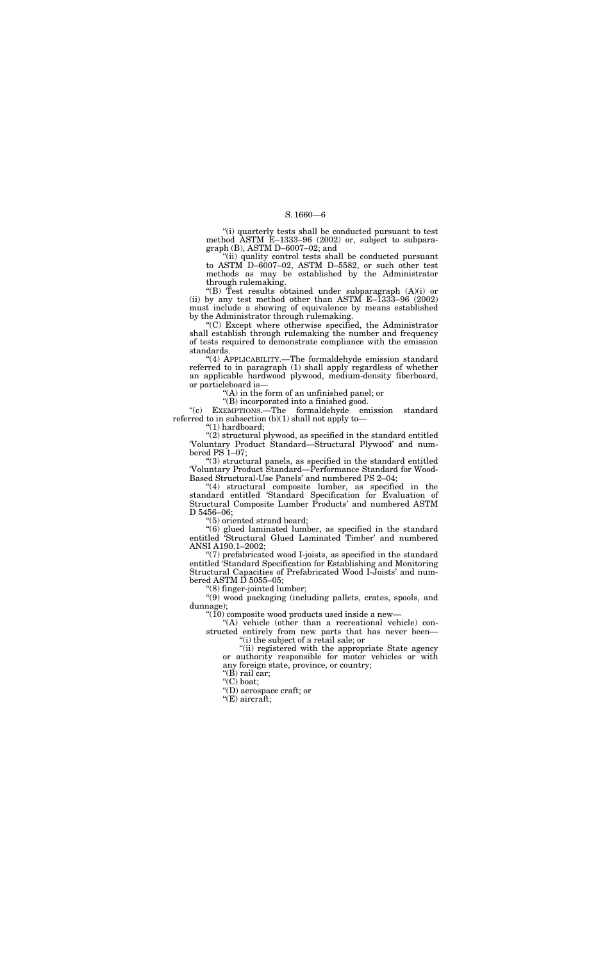''(i) quarterly tests shall be conducted pursuant to test method ASTM E–1333–96 (2002) or, subject to subparagraph (B), ASTM D–6007–02; and

''(ii) quality control tests shall be conducted pursuant to ASTM D–6007–02, ASTM D–5582, or such other test methods as may be established by the Administrator through rulemaking.

''(B) Test results obtained under subparagraph (A)(i) or (ii) by any test method other than ASTM  $E-1333-96$  (2002) must include a showing of equivalence by means established by the Administrator through rulemaking.

''(c) EXEMPTIONS.—The formaldehyde emission standard referred to in subsection  $(b)(1)$  shall not apply to-

(2) structural plywood, as specified in the standard entitled 'Voluntary Product Standard—Structural Plywood' and numbered PS 1–07;

''(C) Except where otherwise specified, the Administrator shall establish through rulemaking the number and frequency of tests required to demonstrate compliance with the emission standards.

"(4) structural composite lumber, as specified in the standard entitled 'Standard Specification for Evaluation of Structural Composite Lumber Products' and numbered ASTM D 5456–06;

''(4) APPLICABILITY.—The formaldehyde emission standard referred to in paragraph (1) shall apply regardless of whether an applicable hardwood plywood, medium-density fiberboard, or particleboard is—

''(A) in the form of an unfinished panel; or

''(B) incorporated into a finished good.

"(9) wood packaging (including pallets, crates, spools, and dunnage);

 $\lq (10)$  composite wood products used inside a new–

"(A) vehicle (other than a recreational vehicle) constructed entirely from new parts that has never been—

''(1) hardboard;

"(ii) registered with the appropriate State agency or authority responsible for motor vehicles or with any foreign state, province, or country;

" $(B)$  rail car;

"(C) boat;

''(3) structural panels, as specified in the standard entitled 'Voluntary Product Standard—Performance Standard for Wood-Based Structural-Use Panels' and numbered PS 2–04;

''(5) oriented strand board;

''(6) glued laminated lumber, as specified in the standard entitled 'Structural Glued Laminated Timber' and numbered ANSI A190.1–2002;

''(7) prefabricated wood I-joists, as specified in the standard entitled 'Standard Specification for Establishing and Monitoring Structural Capacities of Prefabricated Wood I-Joists' and numbered ASTM D 5055–05;

''(8) finger-jointed lumber;

''(i) the subject of a retail sale; or

''(D) aerospace craft; or

''(E) aircraft;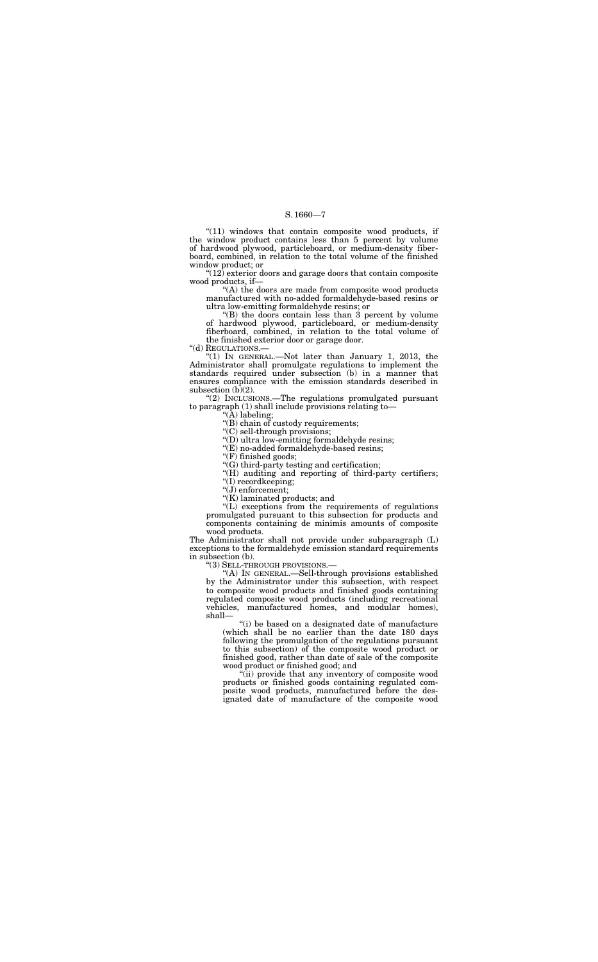"(11) windows that contain composite wood products, if the window product contains less than 5 percent by volume of hardwood plywood, particleboard, or medium-density fiberboard, combined, in relation to the total volume of the finished window product; or

" $(12)$  exterior doors and garage doors that contain composite wood products, if—

"(A) the doors are made from composite wood products manufactured with no-added formaldehyde-based resins or ultra low-emitting formaldehyde resins; or

"(2) INCLUSIONS.—The regulations promulgated pursuant to paragraph (1) shall include provisions relating to—

''(B) the doors contain less than 3 percent by volume of hardwood plywood, particleboard, or medium-density fiberboard, combined, in relation to the total volume of the finished exterior door or garage door.

''(I) recordkeeping;  $\widetilde{f(J)}$  enforcement;

''(d) REGULATIONS.—

''(1) IN GENERAL.—Not later than January 1, 2013, the Administrator shall promulgate regulations to implement the standards required under subsection (b) in a manner that ensures compliance with the emission standards described in subsection (b)(2).

''(A) labeling;

"(B) chain of custody requirements;

''(C) sell-through provisions;

''(D) ultra low-emitting formaldehyde resins;

''(E) no-added formaldehyde-based resins;

"(F) finished goods;

''(G) third-party testing and certification;

"(H) auditing and reporting of third-party certifiers;

''(K) laminated products; and

''(L) exceptions from the requirements of regulations

promulgated pursuant to this subsection for products and components containing de minimis amounts of composite wood products.

The Administrator shall not provide under subparagraph (L) exceptions to the formaldehyde emission standard requirements in subsection (b).

''(3) SELL-THROUGH PROVISIONS.—

''(A) IN GENERAL.—Sell-through provisions established by the Administrator under this subsection, with respect to composite wood products and finished goods containing regulated composite wood products (including recreational vehicles, manufactured homes, and modular homes), shall—

''(i) be based on a designated date of manufacture (which shall be no earlier than the date 180 days following the promulgation of the regulations pursuant to this subsection) of the composite wood product or finished good, rather than date of sale of the composite wood product or finished good; and

''(ii) provide that any inventory of composite wood products or finished goods containing regulated composite wood products, manufactured before the designated date of manufacture of the composite wood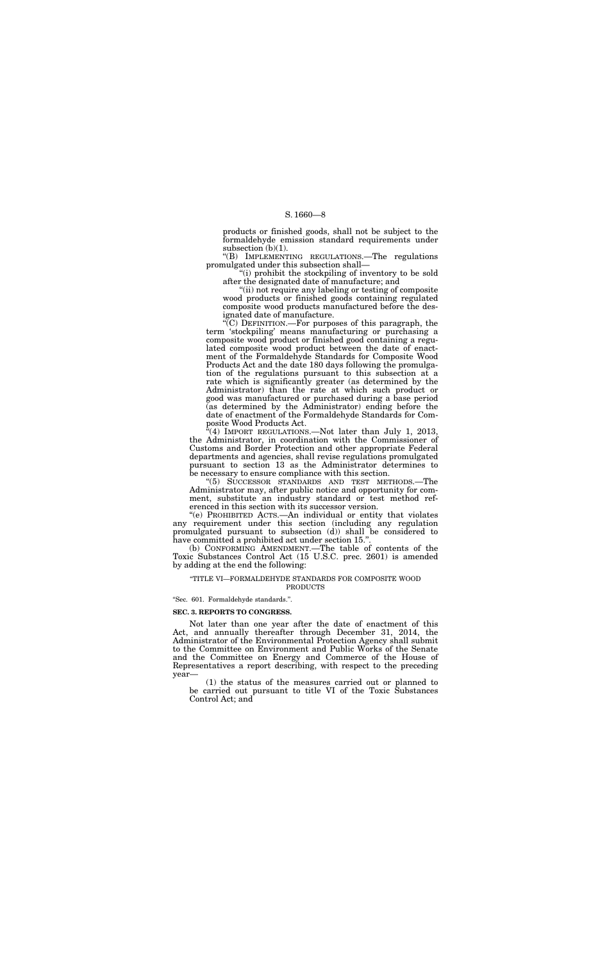products or finished goods, shall not be subject to the formaldehyde emission standard requirements under subsection (b)(1).

''(B) IMPLEMENTING REGULATIONS.—The regulations promulgated under this subsection shall—

''(i) prohibit the stockpiling of inventory to be sold after the designated date of manufacture; and

''(ii) not require any labeling or testing of composite wood products or finished goods containing regulated composite wood products manufactured before the designated date of manufacture.

 $(4)$  IMPORT REGULATIONS.—Not later than July 1, 2013, the Administrator, in coordination with the Commissioner of Customs and Border Protection and other appropriate Federal departments and agencies, shall revise regulations promulgated pursuant to section 13 as the Administrator determines to be necessary to ensure compliance with this section.

''(C) DEFINITION.—For purposes of this paragraph, the term 'stockpiling' means manufacturing or purchasing a composite wood product or finished good containing a regulated composite wood product between the date of enactment of the Formaldehyde Standards for Composite Wood Products Act and the date 180 days following the promulgation of the regulations pursuant to this subsection at a rate which is significantly greater (as determined by the Administrator) than the rate at which such product or good was manufactured or purchased during a base period (as determined by the Administrator) ending before the date of enactment of the Formaldehyde Standards for Composite Wood Products Act.

''(5) SUCCESSOR STANDARDS AND TEST METHODS.—The Administrator may, after public notice and opportunity for comment, substitute an industry standard or test method referenced in this section with its successor version.

''(e) PROHIBITED ACTS.—An individual or entity that violates any requirement under this section (including any regulation promulgated pursuant to subsection (d)) shall be considered to have committed a prohibited act under section 15.''.

(b) CONFORMING AMENDMENT.—The table of contents of the Toxic Substances Control Act (15 U.S.C. prec. 2601) is amended by adding at the end the following:

#### ''TITLE VI—FORMALDEHYDE STANDARDS FOR COMPOSITE WOOD PRODUCTS

''Sec. 601. Formaldehyde standards.''.

#### **SEC. 3. REPORTS TO CONGRESS.**

Not later than one year after the date of enactment of this Act, and annually thereafter through December 31, 2014, the Administrator of the Environmental Protection Agency shall submit to the Committee on Environment and Public Works of the Senate and the Committee on Energy and Commerce of the House of Representatives a report describing, with respect to the preceding year—

(1) the status of the measures carried out or planned to be carried out pursuant to title VI of the Toxic Substances Control Act; and